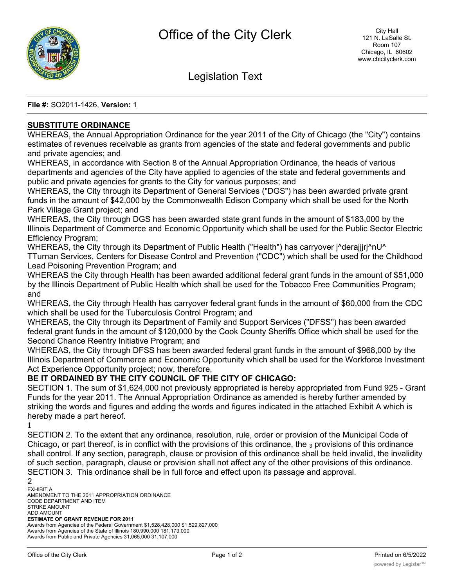

Legislation Text

**File #:** SO2011-1426, **Version:** 1

## **SUBSTITUTE ORDINANCE**

WHEREAS, the Annual Appropriation Ordinance for the year 2011 of the City of Chicago (the "City") contains estimates of revenues receivable as grants from agencies of the state and federal governments and public and private agencies; and

WHEREAS, in accordance with Section 8 of the Annual Appropriation Ordinance, the heads of various departments and agencies of the City have applied to agencies of the state and federal governments and public and private agencies for grants to the City for various purposes; and

WHEREAS, the City through its Department of General Services ("DGS") has been awarded private grant funds in the amount of \$42,000 by the Commonwealth Edison Company which shall be used for the North Park Village Grant project; and

WHEREAS, the City through DGS has been awarded state grant funds in the amount of \$183,000 by the Illinois Department of Commerce and Economic Opportunity which shall be used for the Public Sector Electric Efficiency Program;

WHEREAS, the City through its Department of Public Health ("Health") has carryover j^derajjjrj^nU^ TTurnan Services, Centers for Disease Control and Prevention ("CDC") which shall be used for the Childhood Lead Poisoning Prevention Program; and

WHEREAS the City through Health has been awarded additional federal grant funds in the amount of \$51,000 by the Illinois Department of Public Health which shall be used for the Tobacco Free Communities Program; and

WHEREAS, the City through Health has carryover federal grant funds in the amount of \$60,000 from the CDC which shall be used for the Tuberculosis Control Program; and

WHEREAS, the City through its Department of Family and Support Services ("DFSS") has been awarded federal grant funds in the amount of \$120,000 by the Cook County Sheriffs Office which shall be used for the Second Chance Reentry Initiative Program; and

WHEREAS, the City through DFSS has been awarded federal grant funds in the amount of \$968,000 by the Illinois Department of Commerce and Economic Opportunity which shall be used for the Workforce Investment Act Experience Opportunity project; now, therefore,

## **BE IT ORDAINED BY THE CITY COUNCIL OF THE CITY OF CHICAGO:**

SECTION 1. The sum of \$1,624,000 not previously appropriated is hereby appropriated from Fund 925 - Grant Funds for the year 2011. The Annual Appropriation Ordinance as amended is hereby further amended by striking the words and figures and adding the words and figures indicated in the attached Exhibit A which is hereby made a part hereof.

**1**

SECTION 2. To the extent that any ordinance, resolution, rule, order or provision of the Municipal Code of Chicago, or part thereof, is in conflict with the provisions of this ordinance, the  $_3$  provisions of this ordinance shall control. If any section, paragraph, clause or provision of this ordinance shall be held invalid, the invalidity of such section, paragraph, clause or provision shall not affect any of the other provisions of this ordinance. SECTION 3. This ordinance shall be in full force and effect upon its passage and approval.

2

EXHIBIT A AMENDMENT TO THE 2011 APPROPRIATION ORDINANCE CODE DEPARTMENT AND ITEM STRIKE AMOUNT ADD AMOUNT **ESTIMATE OF GRANT REVENUE FOR 2011** Awards from Agencies of the Federal Government \$1,528,428,000 \$1,529,827,000 Awards from Agencies of the State of Illinois 180,990,000 181,173,000 Awards from Public and Private Agencies 31,065,000 31,107,000